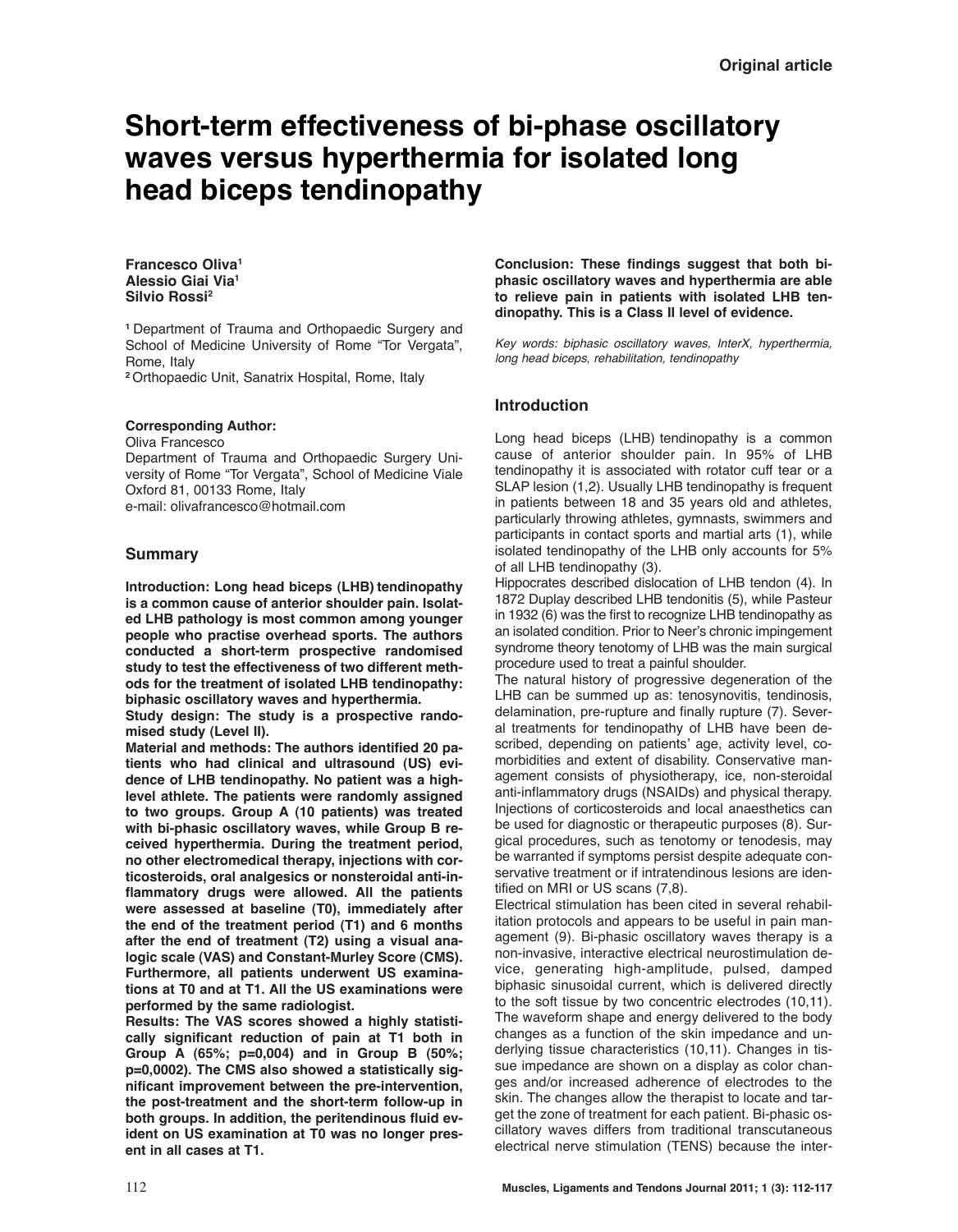# **Short-term effectiveness of bi-phase oscillatory waves versus hyperthermia for isolated long head biceps tendinopathy**

#### **Francesco Oliva1 Alessio Giai Via1 Silvio Rossi2**

**<sup>1</sup>**Department of Trauma and Orthopaedic Surgery and School of Medicine University of Rome "Tor Vergata", Rome, Italy

**<sup>2</sup>**Orthopaedic Unit, Sanatrix Hospital, Rome, Italy

## **Corresponding Author:**

Oliva Francesco Department of Trauma and Orthopaedic Surgery University of Rome "Tor Vergata", School of Medicine Viale Oxford 81, 00133 Rome, Italy e-mail: olivafrancesco@hotmail.com

# **Summary**

**Introduction: Long head biceps (LHB) tendinopathy is a common cause of anterior shoulder pain. Isolated LHB pathology is most common among younger people who practise overhead sports. The authors conducted a short-term prospective randomised study to test the effectiveness of two different methods for the treatment of isolated LHB tendinopathy: biphasic oscillatory waves and hyperthermia.**

**Study design: The study is a prospective rando mised study (Level II).** 

**Material and methods: The authors identified 20 patients who had clinical and ultrasound (US) evidence of LHB tendinopathy. No patient was a highlevel athlete. The patients were randomly assigned to two groups. Group A (10 patients) was treated with bi-phasic oscillatory waves, while Group B received hyperthermia. During the treatment period, no other electromedical therapy, injections with corticosteroids, oral analgesics or nonsteroidal anti-inflammatory drugs were allowed. All the patients were assessed at baseline (T0), immediately after the end of the treatment period (T1) and 6 months after the end of treatment (T2) using a visual analogic scale (VAS) and Constant-Murley Score (CMS). Furthermore, all patients underwent US examinations at T0 and at T1. All the US examinations were performed by the same radiologist.**

**Results: The VAS scores showed a highly statistically significant reduction of pain at T1 both in Group A (65%; p=0,004) and in Group B (50%; p=0,0002). The CMS also showed a statistically significant improvement between the pre-intervention, the post-treatment and the short-term follow-up in both groups. In addition, the peritendinous fluid evident on US examination at T0 was no longer present in all cases at T1.** 

**Conclusion: These findings suggest that both biphasic oscillatory waves and hyperthermia are able to relieve pain in patients with isolated LHB ten dinopathy. This is a Class II level of evidence.** 

Key words: biphasic oscillatory waves, InterX, hyperthermia, long head biceps, rehabilitation, tendinopathy

# **Introduction**

Long head biceps (LHB) tendinopathy is a common cause of anterior shoulder pain. In 95% of LHB tendinopathy it is associated with rotator cuff tear or a SLAP lesion (1,2). Usually LHB tendinopathy is frequent in patients between 18 and 35 years old and athletes, particularly throwing athletes, gymnasts, swimmers and participants in contact sports and martial arts (1), while isolated tendinopathy of the LHB only accounts for 5% of all LHB tendinopathy (3).

Hippocrates described dislocation of LHB tendon (4). In 1872 Duplay described LHB tendonitis (5), while Pasteur in 1932 (6) was the first to recognize LHB tendinopathy as an isolated condition. Prior to Neer's chronic impingement syndrome theory tenotomy of LHB was the main surgical procedure used to treat a painful shoulder.

The natural history of progressive degeneration of the LHB can be summed up as: tenosynovitis, tendinosis, delamination, pre-rupture and finally rupture (7). Several treatments for tendinopathy of LHB have been described, depending on patients' age, activity level, comorbidities and extent of disability. Conservative management consists of physiotherapy, ice, non-steroidal anti-inflammatory drugs (NSAIDs) and physical therapy. Injections of corticosteroids and local anaesthetics can be used for diagnostic or therapeutic purposes (8). Surgical procedures, such as tenotomy or tenodesis, may be warranted if symptoms persist despite adequate conservative treatment or if intratendinous lesions are identified on MRI or US scans (7,8).

Electrical stimulation has been cited in several rehabilitation protocols and appears to be useful in pain management (9). Bi-phasic oscillatory waves therapy is a non-invasive, interactive electrical neurostimulation device, generating high-amplitude, pulsed, damped biphasic sinusoidal current, which is delivered directly to the soft tissue by two concentric electrodes (10,11). The waveform shape and energy delivered to the body changes as a function of the skin impedance and underlying tissue characteristics (10,11). Changes in tissue impedance are shown on a display as color changes and/or increased adherence of electrodes to the skin. The changes allow the therapist to locate and target the zone of treatment for each patient. Bi-phasic oscillatory waves differs from traditional transcutaneous electrical nerve stimulation (TENS) because the inter-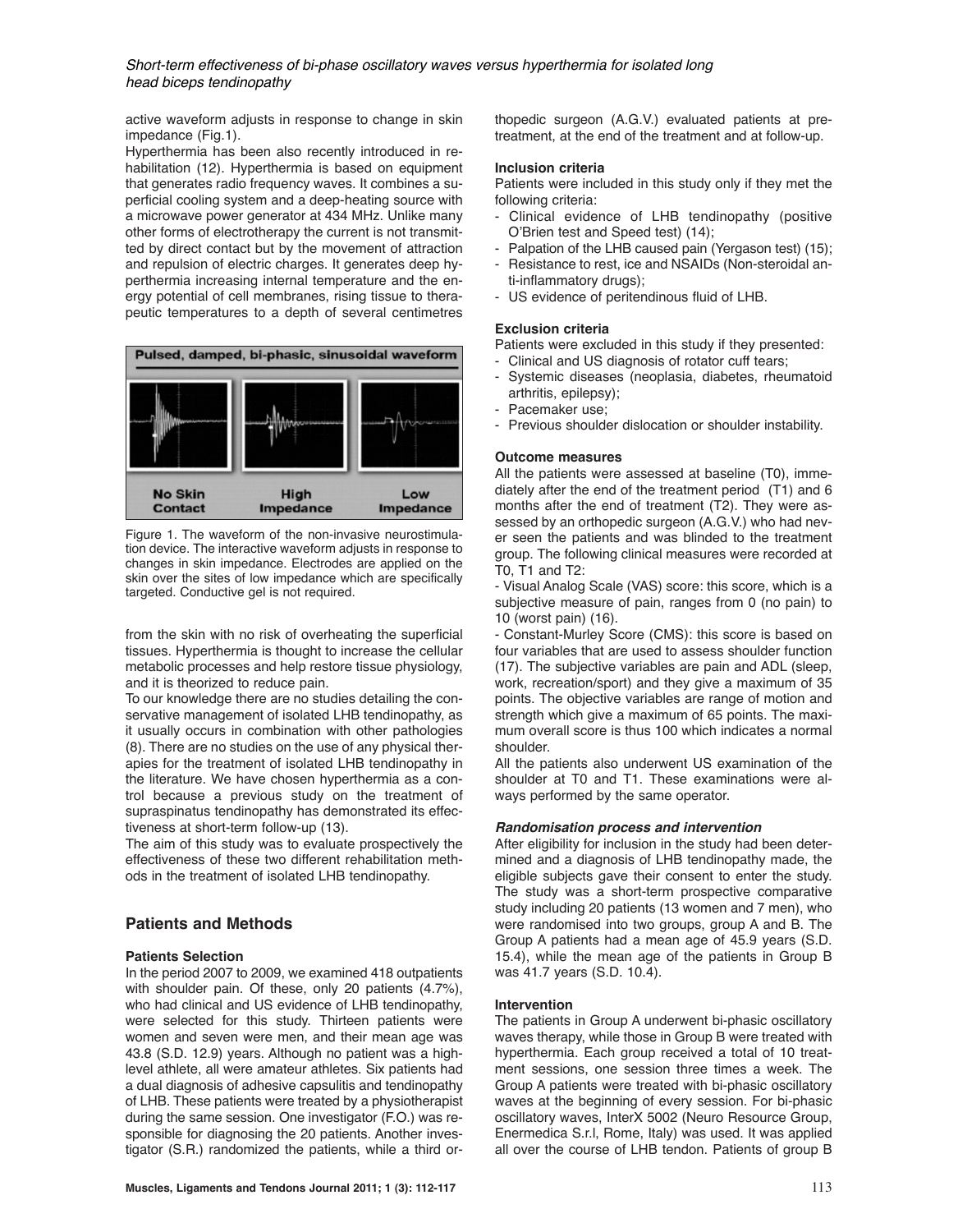Short-term effectiveness of bi-phase oscillatory waves versus hyperthermia for isolated long head biceps tendinopathy

active waveform adjusts in response to change in skin impedance (Fig.1).

Hyperthermia has been also recently introduced in rehabilitation (12). Hyperthermia is based on equipment that generates radio frequency waves. It combines a superficial cooling system and a deep-heating source with a microwave power generator at 434 MHz. Unlike many other forms of electrotherapy the current is not transmitted by direct contact but by the movement of attraction and repulsion of electric charges. It generates deep hyperthermia increasing internal temperature and the energy potential of cell membranes, rising tissue to therapeutic temperatures to a depth of several centimetres



Figure 1. The waveform of the non-invasive neurostimulation device. The interactive waveform adjusts in response to changes in skin impedance. Electrodes are applied on the skin over the sites of low impedance which are specifically targeted. Conductive gel is not required.

from the skin with no risk of overheating the superficial tissues. Hyperthermia is thought to increase the cellular metabolic processes and help restore tissue physiology, and it is theorized to reduce pain.

To our knowledge there are no studies detailing the conservative management of isolated LHB tendinopathy, as it usually occurs in combination with other pathologies (8). There are no studies on the use of any physical therapies for the treatment of isolated LHB tendinopathy in the literature. We have chosen hyperthermia as a control because a previous study on the treatment of supraspinatus tendinopathy has demonstrated its effectiveness at short-term follow-up (13).

The aim of this study was to evaluate prospectively the effectiveness of these two different rehabilitation methods in the treatment of isolated LHB tendinopathy.

## **Patients and Methods**

#### **Patients Selection**

In the period 2007 to 2009, we examined 418 outpatients with shoulder pain. Of these, only 20 patients (4.7%), who had clinical and US evidence of LHB tendinopathy, were selected for this study. Thirteen patients were women and seven were men, and their mean age was 43.8 (S.D. 12.9) years. Although no patient was a highlevel athlete, all were amateur athletes. Six patients had a dual diagnosis of adhesive capsulitis and tendinopathy of LHB. These patients were treated by a physiotherapist during the same session. One investigator (F.O.) was responsible for diagnosing the 20 patients. Another investigator (S.R.) randomized the patients, while a third orthopedic surgeon (A.G.V.) evaluated patients at pretreatment, at the end of the treatment and at follow-up.

#### **Inclusion criteria**

Patients were included in this study only if they met the following criteria:

- Clinical evidence of LHB tendinopathy (positive O'Brien test and Speed test) (14);
- Palpation of the LHB caused pain (Yergason test) (15);
- Resistance to rest, ice and NSAIDs (Non-steroidal anti-inflammatory drugs);
- US evidence of peritendinous fluid of LHB.

#### **Exclusion criteria**

Patients were excluded in this study if they presented:

- Clinical and US diagnosis of rotator cuff tears;
- Systemic diseases (neoplasia, diabetes, rheumatoid arthritis, epilepsy);
- Pacemaker use;
- Previous shoulder dislocation or shoulder instability.

#### **Outcome measures**

All the patients were assessed at baseline (T0), immediately after the end of the treatment period (T1) and 6 months after the end of treatment (T2). They were assessed by an orthopedic surgeon (A.G.V.) who had never seen the patients and was blinded to the treatment group. The following clinical measures were recorded at T0, T1 and T2:

- Visual Analog Scale (VAS) score: this score, which is a subjective measure of pain, ranges from 0 (no pain) to 10 (worst pain) (16).

- Constant-Murley Score (CMS): this score is based on four variables that are used to assess shoulder function (17). The subjective variables are pain and ADL (sleep, work, recreation/sport) and they give a maximum of 35 points. The objective variables are range of motion and strength which give a maximum of 65 points. The maximum overall score is thus 100 which indicates a normal shoulder.

All the patients also underwent US examination of the shoulder at T0 and T1. These examinations were always performed by the same operator.

#### **Randomisation process and intervention**

After eligibility for inclusion in the study had been determined and a diagnosis of LHB tendinopathy made, the eligible subjects gave their consent to enter the study. The study was a short-term prospective comparative study including 20 patients (13 women and 7 men), who were randomised into two groups, group A and B. The Group A patients had a mean age of 45.9 years (S.D. 15.4), while the mean age of the patients in Group B was 41.7 years (S.D. 10.4).

#### **Intervention**

The patients in Group A underwent bi-phasic oscillatory waves therapy, while those in Group B were treated with hyperthermia. Each group received a total of 10 treatment sessions, one session three times a week. The Group A patients were treated with bi-phasic oscillatory waves at the beginning of every session. For bi-phasic oscillatory waves, InterX 5002 (Neuro Resource Group, Enermedica S.r.l, Rome, Italy) was used. It was applied all over the course of LHB tendon. Patients of group B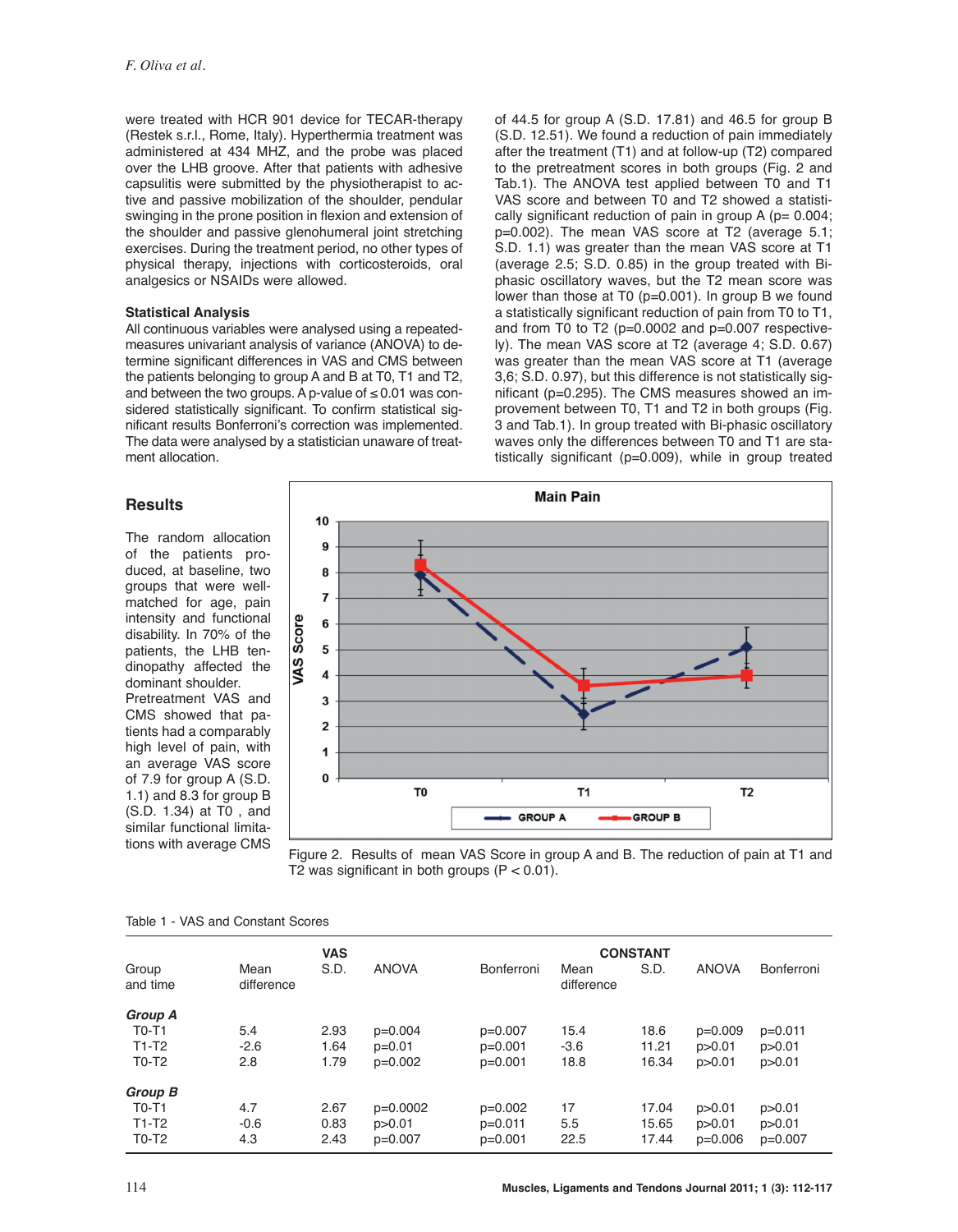were treated with HCR 901 device for TECAR-therapy (Restek s.r.l., Rome, Italy). Hyperthermia treatment was administered at 434 MHZ, and the probe was placed over the LHB groove. After that patients with adhesive capsulitis were submitted by the physiotherapist to active and passive mobilization of the shoulder, pendular swinging in the prone position in flexion and extension of the shoulder and passive glenohumeral joint stretching exercises. During the treatment period, no other types of physical therapy, injections with corticosteroids, oral analgesics or NSAIDs were allowed.

## **Statistical Analysis**

All continuous variables were analysed using a repeatedmeasures univariant analysis of variance (ANOVA) to determine significant differences in VAS and CMS between the patients belonging to group A and B at T0, T1 and T2, and between the two groups. A p-value of  $\leq 0.01$  was considered statistically significant. To confirm statistical significant results Bonferroni's correction was implemented. The data were analysed by a statistician unaware of treatment allocation.

of 44.5 for group A  $(S.D. 17.81)$  and 46.5 for group B (S.D. 12.51). We found a reduction of pain immediately after the treatment (T1) and at follow-up (T2) compared to the pretreatment scores in both groups (Fig. 2 and Tab.1). The ANOVA test applied between T0 and T1 VAS score and between T0 and T2 showed a statistically significant reduction of pain in group  $A$  ( $p= 0.004$ ; p=0.002). The mean VAS score at T2 (average 5.1; S.D. 1.1) was greater than the mean VAS score at T1 (average 2.5; S.D. 0.85) in the group treated with Biphasic oscillatory waves, but the T2 mean score was lower than those at T0 (p=0.001). In group B we found a statistically significant reduction of pain from T0 to T1. and from T0 to T2 (p=0.0002 and p=0.007 respectively). The mean VAS score at T2 (average 4; S.D. 0.67) was greater than the mean VAS score at T1 (average 3,6; S.D. 0.97), but this difference is not statistically significant (p=0.295). The CMS measures showed an improvement between T0, T1 and T2 in both groups (Fig. 3 and Tab.1). In group treated with Bi-phasic oscillatory waves only the differences between T0 and T1 are statistically significant (p=0.009), while in group treated

## **Results**

The random allocation of the patients produced, at baseline, two groups that were wellmatched for age, pain intensity and functional disability. In 70% of the patients, the LHB tendinopathy affected the dominant shoulder. Pretreatment VAS and CMS showed that patients had a comparably high level of pain, with an average VAS score of 7.9 for group A (S.D. 1.1) and 8.3 for group B (S.D. 1.34) at T0 , and similar functional limitations with average CMS





| <b>VAS</b> |            |              | <b>CONSTANT</b> |        |            |              |            |
|------------|------------|--------------|-----------------|--------|------------|--------------|------------|
| Mean       | S.D.       | <b>ANOVA</b> | Bonferroni      | Mean   | S.D.       | <b>ANOVA</b> | Bonferroni |
|            |            |              |                 |        |            |              |            |
|            |            |              |                 |        |            |              |            |
| 5.4        | 2.93       | $p=0.004$    | $p=0.007$       | 15.4   | 18.6       | $p=0.009$    | $p=0.011$  |
| $-2.6$     | 1.64       | $p=0.01$     | $p=0.001$       | $-3.6$ | 11.21      | p > 0.01     | p > 0.01   |
| 2.8        | 1.79       | $p=0.002$    | $p=0.001$       | 18.8   | 16.34      | p > 0.01     | p > 0.01   |
|            |            |              |                 |        |            |              |            |
| 4.7        | 2.67       | $p=0.0002$   | $p=0.002$       | 17     | 17.04      | p > 0.01     | p > 0.01   |
| $-0.6$     | 0.83       | p > 0.01     | $p=0.011$       | 5.5    | 15.65      | p > 0.01     | p > 0.01   |
| 4.3        | 2.43       | $p=0.007$    | $p=0.001$       | 22.5   | 17.44      | $p=0.006$    | $p=0.007$  |
|            | difference |              |                 |        | difference |              |            |

#### Table 1 - VAS and Constant Scores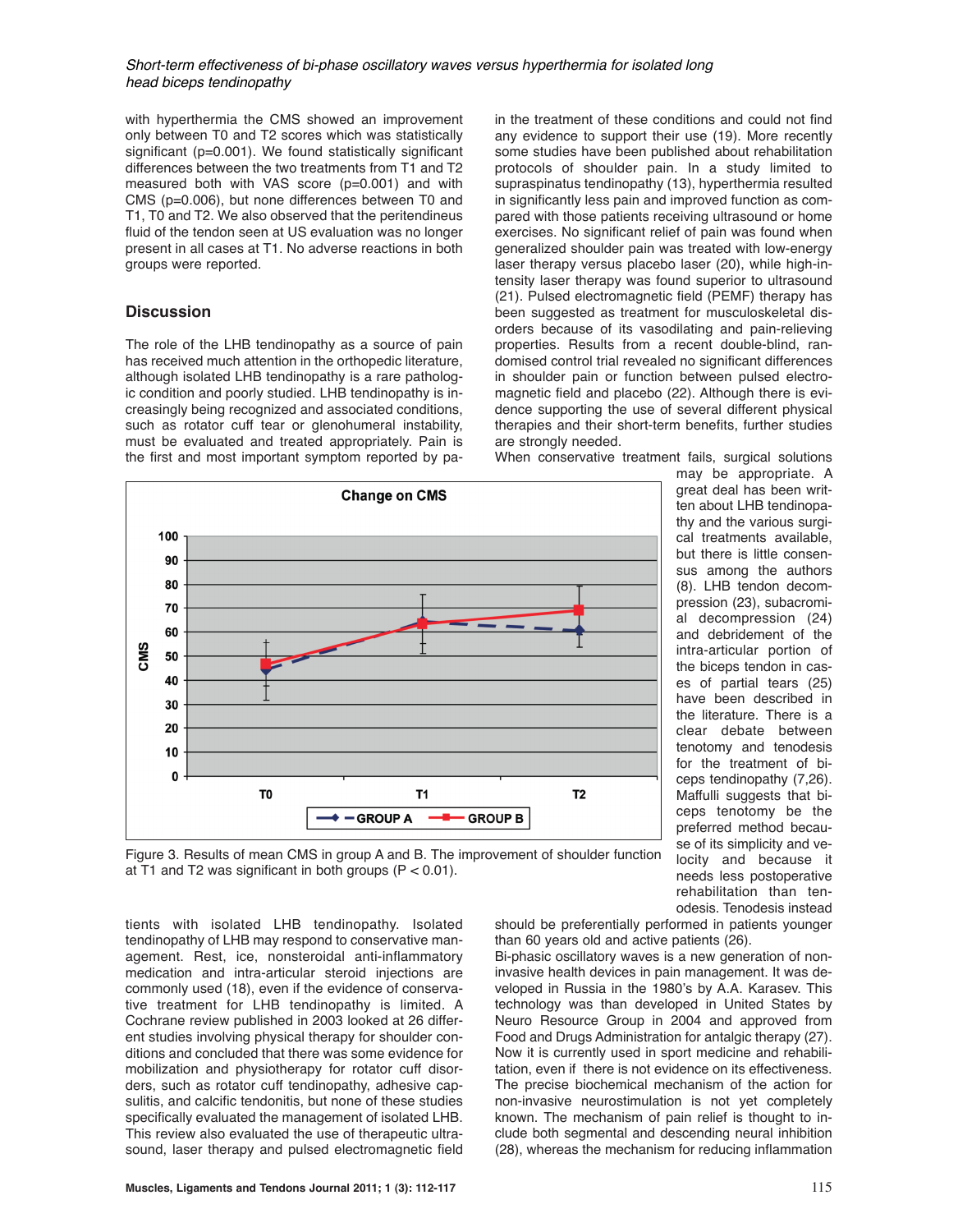## Short-term effectiveness of bi-phase oscillatory waves versus hyperthermia for isolated long head biceps tendinopathy

with hyperthermia the CMS showed an improvement only between T0 and T2 scores which was statistically significant (p=0.001). We found statistically significant differences between the two treatments from T1 and T2 measured both with VAS score (p=0.001) and with CMS (p=0.006), but none differences between T0 and T1, T0 and T2. We also observed that the peritendineus fluid of the tendon seen at US evaluation was no longer present in all cases at T1. No adverse reactions in both groups were reported.

# **Discussion**

The role of the LHB tendinopathy as a source of pain has received much attention in the orthopedic literature, although isolated LHB tendinopathy is a rare pathologic condition and poorly studied. LHB tendinopathy is increasingly being recognized and associated conditions, such as rotator cuff tear or glenohumeral instability, must be evaluated and treated appropriately. Pain is the first and most important symptom reported by pa-

in the treatment of these conditions and could not find any evidence to support their use (19). More recently some studies have been published about rehabilitation protocols of shoulder pain. In a study limited to supraspinatus tendinopathy (13), hyperthermia resulted in significantly less pain and improved function as compared with those patients receiving ultrasound or home exercises. No significant relief of pain was found when generalized shoulder pain was treated with low-energy laser therapy versus placebo laser (20), while high-intensity laser therapy was found superior to ultrasound (21). Pulsed electromagnetic field (PEMF) therapy has been suggested as treatment for musculoskeletal disorders because of its vasodilating and pain-relieving properties. Results from a recent double-blind, randomised control trial revealed no significant differences in shoulder pain or function between pulsed electromagnetic field and placebo (22). Although there is evidence supporting the use of several different physical therapies and their short-term benefits, further studies are strongly needed.

When conservative treatment fails, surgical solutions



may be appropriate. A great deal has been written about LHB tendinopathy and the various surgical treatments available, but there is little consensus among the authors (8). LHB tendon decompression (23), subacromial decompression (24) and debridement of the intra-articular portion of the biceps tendon in cases of partial tears (25) have been described in the literature. There is a clear debate between tenotomy and tenodesis for the treatment of biceps tendinopathy (7,26). Maffulli suggests that biceps tenotomy be the preferred method because of its simplicity and velocity and because it needs less postoperative rehabilitation than tenodesis. Tenodesis instead

Figure 3. Results of mean CMS in group A and B. The improvement of shoulder function at T1 and T2 was significant in both groups  $(P < 0.01)$ .

tients with isolated LHB tendinopathy. Isolated tendinopathy of LHB may respond to conservative management. Rest, ice, nonsteroidal anti-inflammatory medication and intra-articular steroid injections are commonly used (18), even if the evidence of conservative treatment for LHB tendinopathy is limited. A Cochrane review published in 2003 looked at 26 different studies involving physical therapy for shoulder conditions and concluded that there was some evidence for mobilization and physiotherapy for rotator cuff disorders, such as rotator cuff tendinopathy, adhesive capsulitis, and calcific tendonitis, but none of these studies specifically evaluated the management of isolated LHB. This review also evaluated the use of therapeutic ultrasound, laser therapy and pulsed electromagnetic field

should be preferentially performed in patients younger than 60 years old and active patients (26).

Bi-phasic oscillatory waves is a new generation of noninvasive health devices in pain management. It was developed in Russia in the 1980's by A.A. Karasev. This technology was than developed in United States by Neuro Resource Group in 2004 and approved from Food and Drugs Administration for antalgic therapy (27). Now it is currently used in sport medicine and rehabilitation, even if there is not evidence on its effectiveness. The precise biochemical mechanism of the action for non-invasive neurostimulation is not yet completely known. The mechanism of pain relief is thought to include both segmental and descending neural inhibition (28), whereas the mechanism for reducing inflammation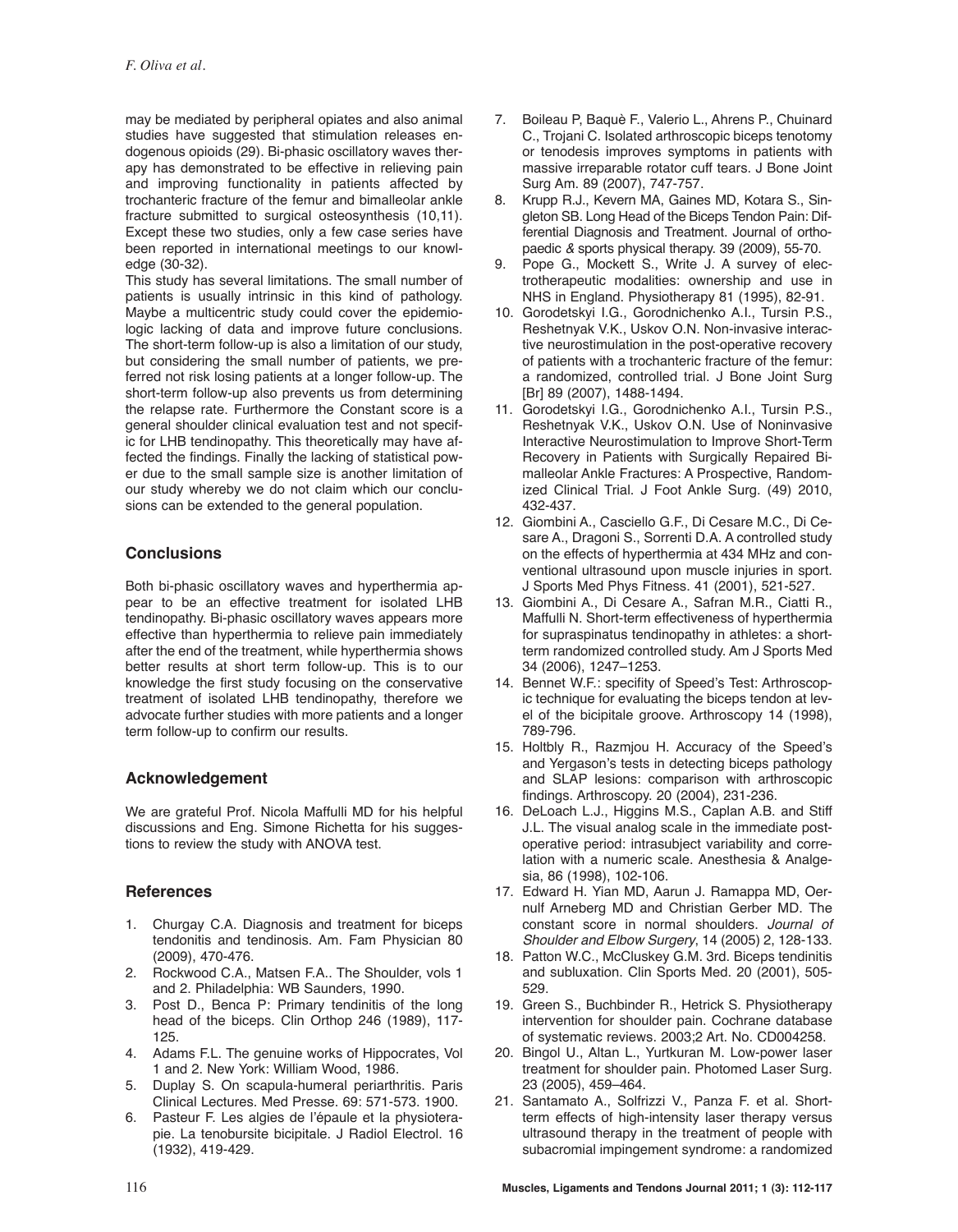may be mediated by peripheral opiates and also animal studies have suggested that stimulation releases endogenous opioids (29). Bi-phasic oscillatory waves therapy has demonstrated to be effective in relieving pain and improving functionality in patients affected by trochanteric fracture of the femur and bimalleolar ankle fracture submitted to surgical osteosynthesis (10,11). Except these two studies, only a few case series have been reported in international meetings to our knowledge (30-32).

This study has several limitations. The small number of patients is usually intrinsic in this kind of pathology. Maybe a multicentric study could cover the epidemiologic lacking of data and improve future conclusions. The short-term follow-up is also a limitation of our study, but considering the small number of patients, we preferred not risk losing patients at a longer follow-up. The short-term follow-up also prevents us from determining the relapse rate. Furthermore the Constant score is a general shoulder clinical evaluation test and not specific for LHB tendinopathy. This theoretically may have affected the findings. Finally the lacking of statistical power due to the small sample size is another limitation of our study whereby we do not claim which our conclusions can be extended to the general population.

# **Conclusions**

Both bi-phasic oscillatory waves and hyperthermia appear to be an effective treatment for isolated LHB tendinopathy. Bi-phasic oscillatory waves appears more effective than hyperthermia to relieve pain immediately after the end of the treatment, while hyperthermia shows better results at short term follow-up. This is to our knowledge the first study focusing on the conservative treatment of isolated LHB tendinopathy, therefore we advocate further studies with more patients and a longer term follow-up to confirm our results.

## **Acknowledgement**

We are grateful Prof. Nicola Maffulli MD for his helpful discussions and Eng. Simone Richetta for his suggestions to review the study with ANOVA test.

# **References**

- 1. Churgay C.A. Diagnosis and treatment for biceps tendonitis and tendinosis. Am. Fam Physician 80 (2009), 470-476.
- 2. Rockwood C.A., Matsen F.A.. The Shoulder, vols 1 and 2. Philadelphia: WB Saunders, 1990.
- 3. Post D., Benca P: Primary tendinitis of the long head of the biceps. Clin Orthop 246 (1989), 117- 125.
- 4. Adams F.L. The genuine works of Hippocrates, Vol 1 and 2. New York: William Wood, 1986.
- 5. Duplay S. On scapula-humeral periarthritis. Paris Clinical Lectures. Med Presse. 69: 571-573. 1900.
- 6. Pasteur F. Les algies de l'épaule et la physioterapie. La tenobursite bicipitale. J Radiol Electrol. 16 (1932), 419-429.
- 7. Boileau P, Baquè F., Valerio L., Ahrens P., Chuinard C., Trojani C. Isolated arthroscopic biceps tenotomy or tenodesis improves symptoms in patients with massive irreparable rotator cuff tears. J Bone Joint Surg Am. 89 (2007), 747-757.
- 8. Krupp R.J., Kevern MA, Gaines MD, Kotara S., Singleton SB. Long Head of the Biceps Tendon Pain: Differential Diagnosis and Treatment. Journal of orthopaedic & sports physical therapy. 39 (2009), 55-70.
- 9. Pope G., Mockett S., Write J. A survey of electrotherapeutic modalities: ownership and use in NHS in England. Physiotherapy 81 (1995), 82-91.
- 10. Gorodetskyi I.G., Gorodnichenko A.I., Tursin P.S., Reshetnyak V.K., Uskov O.N. Non-invasive interactive neurostimulation in the post-operative recovery of patients with a trochanteric fracture of the femur: a randomized, controlled trial. J Bone Joint Surg [Br] 89 (2007), 1488-1494.
- 11. Gorodetskyi I.G., Gorodnichenko A.I., Tursin P.S., Reshetnyak V.K., Uskov O.N. Use of Noninvasive Interactive Neurostimulation to Improve Short-Term Recovery in Patients with Surgically Repaired Bimalleolar Ankle Fractures: A Prospective, Randomized Clinical Trial. J Foot Ankle Surg. (49) 2010, 432-437.
- 12. Giombini A., Casciello G.F., Di Cesare M.C., Di Cesare A., Dragoni S., Sorrenti D.A. A controlled study on the effects of hyperthermia at 434 MHz and conventional ultrasound upon muscle injuries in sport. J Sports Med Phys Fitness. 41 (2001), 521-527.
- 13. Giombini A., Di Cesare A., Safran M.R., Ciatti R., Maffulli N. Short-term effectiveness of hyperthermia for supraspinatus tendinopathy in athletes: a shortterm randomized controlled study. Am J Sports Med 34 (2006), 1247–1253.
- 14. Bennet W.F.: specifity of Speed's Test: Arthroscopic technique for evaluating the biceps tendon at level of the bicipitale groove. Arthroscopy 14 (1998), 789-796.
- 15. Holtbly R., Razmjou H. Accuracy of the Speed's and Yergason's tests in detecting biceps pathology and SLAP lesions: comparison with arthroscopic findings. Arthroscopy. 20 (2004), 231-236.
- 16. DeLoach L.J., Higgins M.S., Caplan A.B. and Stiff J.L. The visual analog scale in the immediate postoperative period: intrasubject variability and correlation with a numeric scale. Anesthesia & Analgesia, 86 (1998), 102-106.
- 17. Edward H. Yian MD, Aarun J. Ramappa MD, Oernulf Arneberg MD and Christian Gerber MD. The constant score in normal shoulders. Journal of Shoulder and Elbow Surgery, 14 (2005) 2, 128-133.
- 18. Patton W.C., McCluskey G.M. 3rd. Biceps tendinitis and subluxation. Clin Sports Med. 20 (2001), 505- 529.
- 19. Green S., Buchbinder R., Hetrick S. Physiotherapy intervention for shoulder pain. Cochrane database of systematic reviews. 2003;2 Art. No. CD004258.
- 20. Bingol U., Altan L., Yurtkuran M. Low-power laser treatment for shoulder pain. Photomed Laser Surg. 23 (2005), 459–464.
- 21. Santamato A., Solfrizzi V., Panza F. et al. Shortterm effects of high-intensity laser therapy versus ultrasound therapy in the treatment of people with subacromial impingement syndrome: a randomized